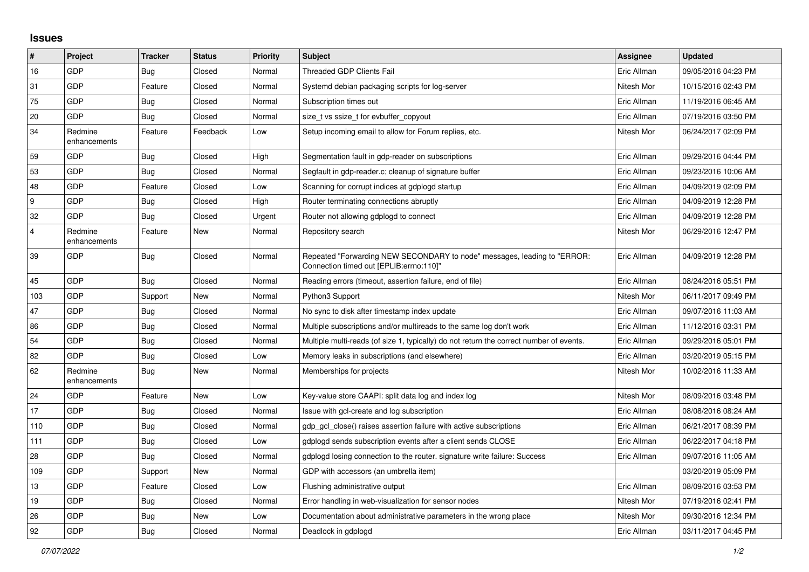## **Issues**

| $\pmb{\#}$              | Project                 | <b>Tracker</b> | <b>Status</b> | <b>Priority</b> | <b>Subject</b>                                                                                                      | Assignee    | <b>Updated</b>      |
|-------------------------|-------------------------|----------------|---------------|-----------------|---------------------------------------------------------------------------------------------------------------------|-------------|---------------------|
| 16                      | GDP                     | <b>Bug</b>     | Closed        | Normal          | Threaded GDP Clients Fail                                                                                           | Eric Allman | 09/05/2016 04:23 PM |
| 31                      | GDP                     | Feature        | Closed        | Normal          | Systemd debian packaging scripts for log-server                                                                     | Nitesh Mor  | 10/15/2016 02:43 PM |
| 75                      | GDP                     | <b>Bug</b>     | Closed        | Normal          | Subscription times out                                                                                              | Eric Allman | 11/19/2016 06:45 AM |
| 20                      | GDP                     | <b>Bug</b>     | Closed        | Normal          | size t vs ssize t for evbuffer copyout                                                                              | Eric Allman | 07/19/2016 03:50 PM |
| 34                      | Redmine<br>enhancements | Feature        | Feedback      | Low             | Setup incoming email to allow for Forum replies, etc.                                                               | Nitesh Mor  | 06/24/2017 02:09 PM |
| 59                      | GDP                     | <b>Bug</b>     | Closed        | High            | Segmentation fault in gdp-reader on subscriptions                                                                   | Eric Allman | 09/29/2016 04:44 PM |
| 53                      | GDP                     | <b>Bug</b>     | Closed        | Normal          | Segfault in gdp-reader.c; cleanup of signature buffer                                                               | Eric Allman | 09/23/2016 10:06 AM |
| 48                      | GDP                     | Feature        | Closed        | Low             | Scanning for corrupt indices at gdplogd startup                                                                     | Eric Allman | 04/09/2019 02:09 PM |
| 9                       | GDP                     | <b>Bug</b>     | Closed        | High            | Router terminating connections abruptly                                                                             | Eric Allman | 04/09/2019 12:28 PM |
| 32                      | GDP                     | Bug            | Closed        | Urgent          | Router not allowing gdplogd to connect                                                                              | Eric Allman | 04/09/2019 12:28 PM |
| $\overline{\mathbf{A}}$ | Redmine<br>enhancements | Feature        | New           | Normal          | Repository search                                                                                                   | Nitesh Mor  | 06/29/2016 12:47 PM |
| 39                      | GDP                     | <b>Bug</b>     | Closed        | Normal          | Repeated "Forwarding NEW SECONDARY to node" messages, leading to "ERROR:<br>Connection timed out [EPLIB:errno:110]" | Eric Allman | 04/09/2019 12:28 PM |
| 45                      | GDP                     | <b>Bug</b>     | Closed        | Normal          | Reading errors (timeout, assertion failure, end of file)                                                            | Eric Allman | 08/24/2016 05:51 PM |
| 103                     | GDP                     | Support        | New           | Normal          | Python3 Support                                                                                                     | Nitesh Mor  | 06/11/2017 09:49 PM |
| 47                      | GDP                     | <b>Bug</b>     | Closed        | Normal          | No sync to disk after timestamp index update                                                                        | Eric Allman | 09/07/2016 11:03 AM |
| 86                      | GDP                     | <b>Bug</b>     | Closed        | Normal          | Multiple subscriptions and/or multireads to the same log don't work                                                 | Eric Allman | 11/12/2016 03:31 PM |
| 54                      | GDP                     | <b>Bug</b>     | Closed        | Normal          | Multiple multi-reads (of size 1, typically) do not return the correct number of events.                             | Eric Allman | 09/29/2016 05:01 PM |
| 82                      | GDP                     | <b>Bug</b>     | Closed        | Low             | Memory leaks in subscriptions (and elsewhere)                                                                       | Eric Allman | 03/20/2019 05:15 PM |
| 62                      | Redmine<br>enhancements | <b>Bug</b>     | New           | Normal          | Memberships for projects                                                                                            | Nitesh Mor  | 10/02/2016 11:33 AM |
| 24                      | GDP                     | Feature        | New           | Low             | Key-value store CAAPI: split data log and index log                                                                 | Nitesh Mor  | 08/09/2016 03:48 PM |
| 17                      | GDP                     | <b>Bug</b>     | Closed        | Normal          | Issue with gcl-create and log subscription                                                                          | Eric Allman | 08/08/2016 08:24 AM |
| 110                     | GDP                     | <b>Bug</b>     | Closed        | Normal          | gdp gcl close() raises assertion failure with active subscriptions                                                  | Eric Allman | 06/21/2017 08:39 PM |
| 111                     | GDP                     | Bug            | Closed        | Low             | gdplogd sends subscription events after a client sends CLOSE                                                        | Eric Allman | 06/22/2017 04:18 PM |
| 28                      | GDP                     | <b>Bug</b>     | Closed        | Normal          | gdplogd losing connection to the router, signature write failure: Success                                           | Eric Allman | 09/07/2016 11:05 AM |
| 109                     | GDP                     | Support        | New           | Normal          | GDP with accessors (an umbrella item)                                                                               |             | 03/20/2019 05:09 PM |
| 13                      | GDP                     | Feature        | Closed        | Low             | Flushing administrative output                                                                                      | Eric Allman | 08/09/2016 03:53 PM |
| 19                      | GDP                     | Bug            | Closed        | Normal          | Error handling in web-visualization for sensor nodes                                                                | Nitesh Mor  | 07/19/2016 02:41 PM |
| 26                      | GDP                     | Bug            | New           | Low             | Documentation about administrative parameters in the wrong place                                                    | Nitesh Mor  | 09/30/2016 12:34 PM |
| 92                      | GDP                     | Bug            | Closed        | Normal          | Deadlock in gdplogd                                                                                                 | Eric Allman | 03/11/2017 04:45 PM |